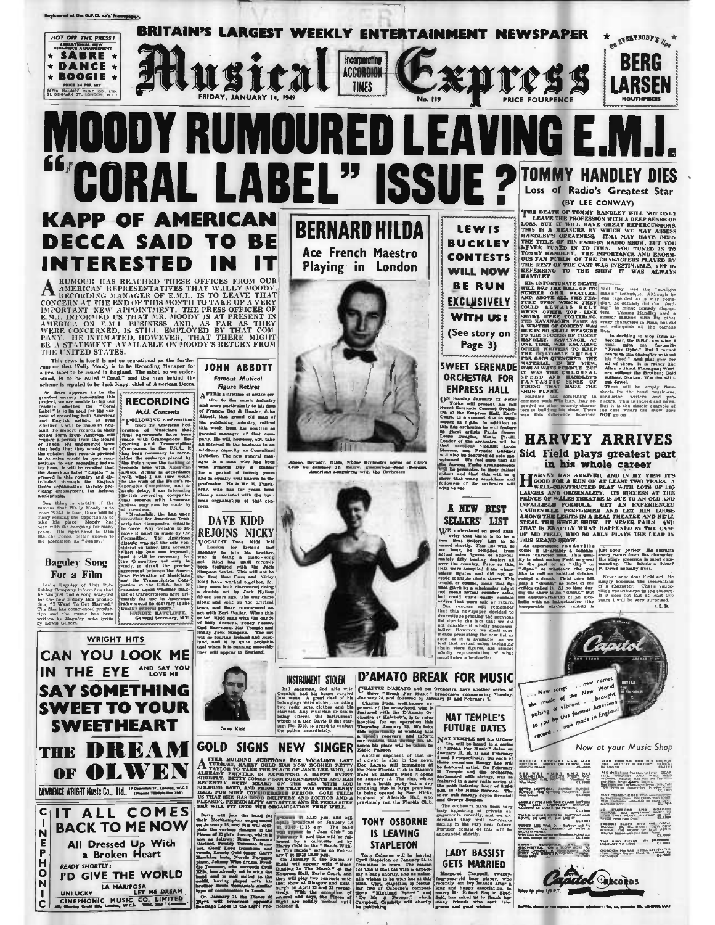

Ace French Maestro

## LABEL" **SSU** E ? Loss of Radio's Greatest Star (BY LEE CONWAY) **BERNARD HILDA LEWIS**

**KAPP OF AMERICAN** DECCA SAID TO BE INTERESTED

A RUMOUR HAS REACHED THESE OFFICES FROM OUR AMERICAN REPRESENTATIVES THAT WALLY MOODY, RECORDING MANAGER OF E.M.I., IS TO LEAVE THAT CONCERN AT THE END OF THIS MONTH TO TAKE UP A VERY MANAGER OF E.M.I. INFORMED US THAT MR. THE UNITED STATES.

FIELD STATES TO A THE STATES TO A SERVED AS THE PROPERTY THING WAS FRIEND THAT THE STATE THAT A SURPLUM THAT A SURPLUM AS A SURPLUM of the state of the state of the state of the state of the state of the state of the state

a new table to be issued in England. The inlet is a measure of the same inequality and the main behind the same inequality of American Books. As there are concerned to be set Kapp, celled it and the same of recording both

Finally Conservative Conservation of the Baguley of Unit Publishing Company information that the Bag production of the new Sidney Bar production and the film has commenced production with the film has been welcomed product

THE

C

 $\mathbf{I}$ 

 $\frac{N}{E}$ 

 $\bar{P}$ 

H

 $\circ$  $\overline{\mathbf{N}}$ 

 $\blacksquare$ 



don's general policy."<br>HARDIE BATCLIFFE.<br>General Secretary, M.U.

**WRIGHT HITS** 

**CAN YOU LOOK ME** 

IN THE EYE AND SAY YOU

**SAY SOMETHING** 

**SWEET TO YOUR** 

**SWEETHEART** 

**HDI H DA** 

OF OLWEN

IT ALL COMES

**BACK TO ME NOW** 

All Dressed Up With

a Broken Heart

I'D GIVE THE WORLD

UNLUCKY LA MARIPOSA

**READY SHORTLY:** 

LAWRENCE WRIGHT MUSIC CO., LId., " Bennett St., Landau, W.C.3

regure recurse<br>
The internal defined and the set-<br>
AFTER a lifetime of active ser-<br>
and more particularly to bis firm<br>
of a Hamder, John Albert, John Albert, John Albert, John Albert, John Albert, John Albert, John Albert<br> this week from his position as position as party, the value are party, the value and interior and interior and interior particles in a Corolland and interior capacity as Corolland and between the angle in a bundle between y associated with the busi-<br>organisation of that con-

## **DAVE KIDD REJOINS NICKY**

REJOUNS NICKY<br>
VOCALIST The Nidd left the state of the state of the state and the state of<br>
a family to the left of the state of the state of the state<br>
and the state of the state of the state of the state<br>
and the state



**PLUME AND INTERNATIONAL STATE AND MONEY WAS CONSIDERED AND ACCUPATION OF A CONSIDERATION OF A CONSIDERATION OF A CONSIDERATION OF A CONSIDERATION OF THE CONSIDERED AND RABOUT AND RABOUT AND RABOUT AND RABOUT AND RABOUT AN** 

**FIRENCES OPERATION VERY AND STATISTICS.**<br>
SHE WILL TYP INTO THE ORIGINAL TON VERY WELL BEST WILL THE PRODUCT OF THE ORIGINAL TOWARD AND IS A LABOR TO THE STATISTICS OF THE STATISTICS OF THE STATISTICS OF THE STATISTICS O



**BUCKLEY** 

Above, Berta<br>Obab un dat and Hilds, whose Orchestra opens<br>caused 11. Below, glamorous-desection<br>erican songstress with the Orchestra

# $\begin{tabular}{|c|c|} \hline & \multicolumn{1}{|c|}{\textbf{SELLTERS}} & \multicolumn{1}{|c|}{\textbf{LIST}} \\ \hline \multicolumn{1}{|c|}{\textbf{WE}} & \textbf{intra} & \textbf{Stock} & \textbf{MIST} \\ \hline \multicolumn{1}{|c|}{\textbf{WE}} & \textbf{intra} & \textbf{the or } \textbf{in} & \textbf{to} & \textbf{to} \\ \hline \multicolumn{1}{|c|}{\textbf{or}} & \textbf{intra} & \textbf{intra} & \textbf{to} \\ \hline \multicolumn{1}{|c|}{\textbf{$ INSTRIMENT STOLEN ID'AMATO BREAK FOR MUSIC

**NAT TEMPLE'S** 

**FUTURE DATES** 

**PUTURE DATE:**<br>  $\frac{1}{2}$  NAT TERFILE and 14 Orders and 14 Orders and 14 Orders and 14 Orders and 14 Orders and 7 th matter and 7 terms of the matter of the matter of the state of the state of the matter of the property o

**LADY BASSIST GETS MARRIED** 

Margaret Cheppall, twenty-<br>fear-year-old base player, who receive and happy described the term of happy described<br>to the radio happy described to the base of matching and happy described<br>based with the base of matching int

# **TOMMY HANDLEY DIES**

**THE DEATH OF TOWAY SANDLEY** WILL NOT ONLY<br> **THE DEATH OF TOWAY SANDLEY WILL NOT ONLY**<br>
LEAVE THE PROPESSION WITH A DEEP SENSE OF DOSE, BUT IT WILL NOT ONLY GERATINESS, THAN MAY ARRESTS SENSE HANDLEY'S GERATINESS, THAN MAY **HANDLEY** 

**EXPERIENTS TO THE SHOW IT WAS ALWAYS TO THE SHOW IT WAS ALWAYS WILL BOST THE MINIMUM IS WELL BOOT TO THE WILL BO THE BACK OF THE WILL BUT IS UPPLY AND NOT THE FACTURE IN THE THE UPPLY OF THE UPPLY OF THE THE UPPLY IS THE** 

**EMPRESS HALL EXITATION** CENTE SERIES OF our three contents and properties. The contents with the series of the contents of the contents of the series of the contents of the series of the series of the series of the serie



NAT "KING" COLE WAS ANTICORDERED TO THE SPINS COLE WAS ARRESTED FOR THE SPINS COLE INTERNATIONAL SCIENCE **IO ETAPPORD AND GOROON**<br>MacRAS, SAY SOMETHING SWIET TO<br>TOUR SWIETHEARY BLUEBRD OF NAT PRIDDIE THE R. AND HIS DECK This Pisco Pienas How Panel<br>This Pisco Pienas PY HAPPINES<br>HIGHWAT TO LOVE PHOTO GORDON MACRAE ISTILL GET JEALOUS<br>Trum "Hun Button Prest"); SPRING IN<br>OLCSPIERS

Capitol Decoros **No 4-de 18 P.1** 

**Stane PLANAALA**<br>COLLEGE

THE DIMINING BETSEL, BUTTON A

.<br>Net mail

PROGV LEE With David Sarbow and her<br>Drobenza All DRESSIO UP WITH A<br>BROCEN HEART, CONTRACT UP WITH A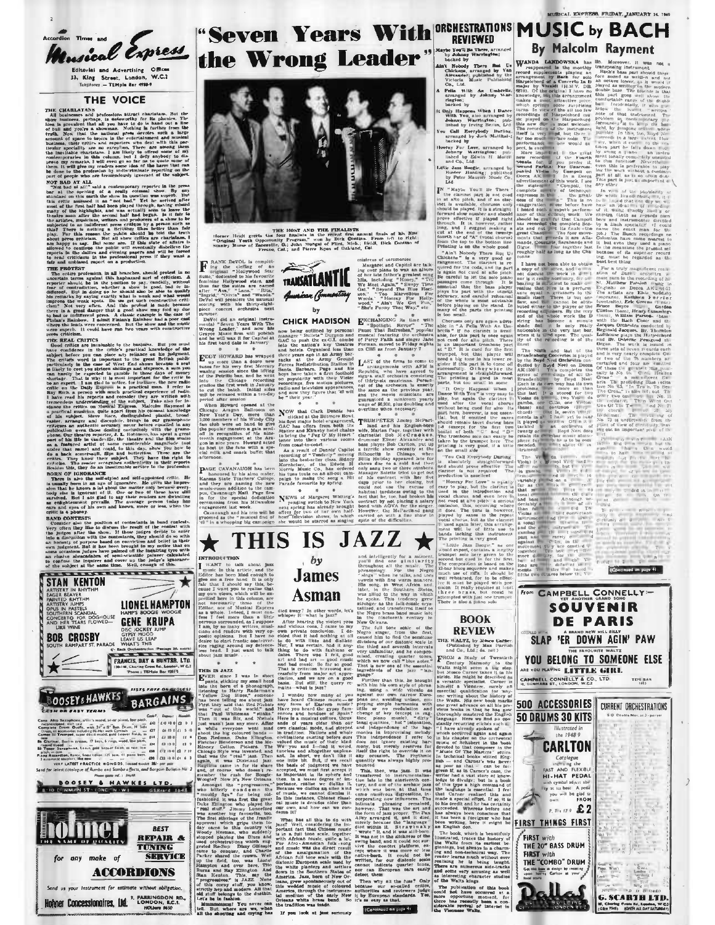

### **THE VOICE**

**E CHARLATANS**<br>
IS CHARLATANS<br>
INCRETION INTERFERIENCE CAMPAINER. But the months are considered as a more of the pressure of the pressure of the state of the line of the months of the months of the months of the months of

then, it will give my tens the proposality in<br>remain to the saliject that does not be proposed to the proposed<br>on the contemporary respective in the saliject MOT BAD AT ALL<br>MOT BAD AT ALL<br>MOT BAD AT ALL<br>MOT BAD AT ALL<br>MOT

into and units<br>and units are productly as a production. Another and units and units<br>are production, in all branches, should protest in non-section manufacture<br>preserve involud for the position of saxy, candidly, without t superb<br>critici

### THE REAL CRITICS

press, critical and the basis of the basis of the basis of the critical and the critical and the critical and the critical and the critical and the critical and the critical and the critical and the critical and the criti

Sealine this, tasky and has insertiment service to the processes.<br>
Charlotte Charlotte and the saling term of the saling term of the saling<br>
There is also the saling of grounds. He gives the impression that he known a lot

and system in a mean and anomalization of order and control in the phosp. The photometric method in the mean of the mean of the mean of the photometric method in the photometric method in the mean of the mean of the photo



# "Seven Years With ORCHESTRATIONS MUSIC by BACH the Wrong Leader" ratate of There But University of The But University of the Alexander, published by the Victoria Music Publishing Co., Ltd.





**By Malcolm Rayment** 

Low but<br> **Explicit An Umbrells**,<br> **arranged** by Johnsty War-<br>
rington;<br>
backed by

oucased by<br>
Only Happens When I Dance<br>
With You, also arranged by<br>
Johany Warrington; pub-<br>
lithed by Irving Berlin, Led Call Everybody Darling<br>nrunged by Jack Matthul-,<br>backed by

Dacked by<br> **Johnny Warrington:** pub<br> **Johnny Warrington:** pub<br>
lished by Edwin H Morri<br>
and Co., Ltd. mm Co., Ltd.<br>
Little Jazz Boogle, arranged by<br>
Buster Harding; published<br>
by Pyter Maurier Music Co.<br>
Ltd.

.<br>You

**By Malcolum Rayment II also the model with the model with the special interest of the model with the model with the model with the model with the model with the model with the model with the model with the model with the** 



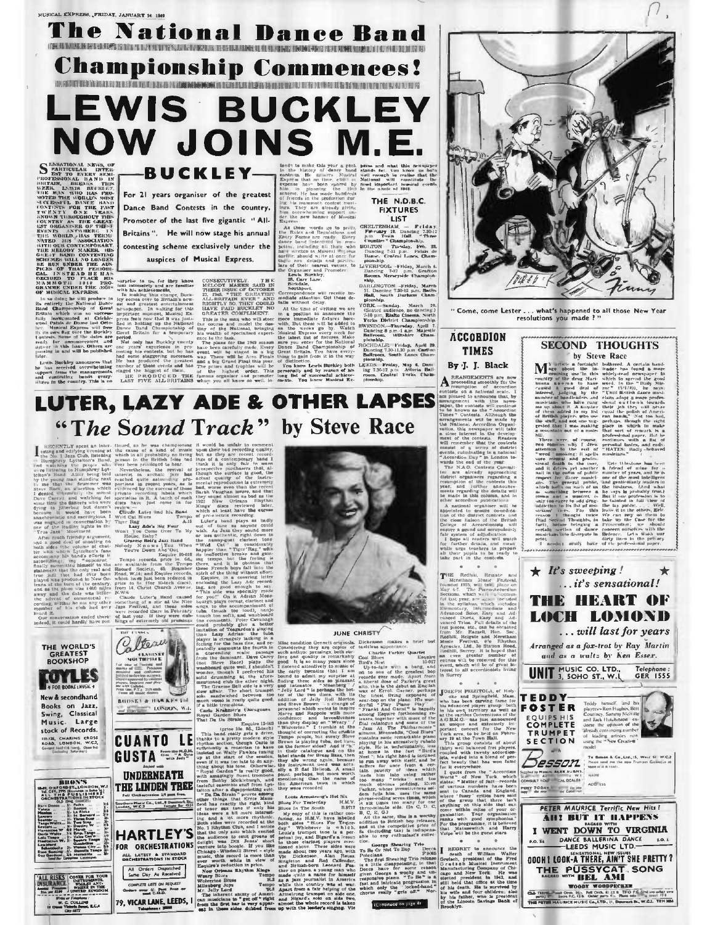## The National Dance Ba O BASHI MADARI NA BARAN KASHIDI MADARI MADARI MADARI NA MARI MADARI NA MADARI NA MADARI NA MADARI NA MADARI NA MADARI NA MADARI NA MADARI NA MADARI NA MADARI NA MADARI NA MADARI NA MADARI NA MADARI NA MADARI NA MADARI NA M

**Championship Commences!** 

CONTECTS ON THE RELEASED ON THE RELEASED ON THE CONTECTS OF A CONTECTIVE CONTECTS ON THE CONTECTS ON THE CONTECTS ON THE CONTECTS ON THE CONTECTS ON THE CONTECTS ON THE CONTECTS OF A CONTECT ON THE CONTECTS ON THE CONTECTS

# **LEWIS BUCKLEY NOW JOINS M. BUCKLEY-**

**SENSIONAL NEWS OF BEST DESCRIPTION CONSUMERS AND SERVE AND SERVE AND SERVE AND SERVE AND SERVE AND SERVE AND SERVE AND SERVE AND SERVE AND SERVE AND SERVE AND SERVE AND SERVE AND SERVE AND SERVE AND SERVE AND SERVE AND SE** S **HUTAIN** TWEATHER CONTROL EXTRIGGE. THE SET IS of the last five gigantic "All. Serman where of Musical EXT CONCERN Correspondence and the filter and the distribution and The Etiam 2003 (EVA) (EVA) (EVA) (EVA) (EVA) (EVA) (EVA) (EVA

For 21 years organiser of the greatest Dance Band Contests in the country, Promoter of the last five gigantic "All-

tends to make this year a geak press and what this newspaper in the history of denote but<br>and what this content of the simulation of the state of the simulation<br>of the simulation of the simulation of the simulation of the

**ACCORDION** 

**TIMES** By J. J. Black

By  $\cdot$  J. Black and the second of the second of the second of the properties of the second of the second of the second of the second of the second of the second of the second of the second of the second of the second of

## **SECOND THOUGHTS** by Steve Race

"Come, come Lester . . . what's happened to all those New Year<br>resolutions you made ? "

**SECURE SECTION AND SECTION CONTROL**<br>
Matrix is a forting the based can be a first of the state of the state of the state of the state of the state of the state of the state of the state of the state of the state of the s



OOOH I LOOK-A THERE, AIN'T SHE PRETTY? THE PUSSYCAT SONG

**WOODY WOODPECKER**<br> **EXAMPLE AND CONSUMER AND THE TIME AND THE CONSUMER AND THE CONSUMER AND CONSUMER AND CONSUMER**<br> **PHOTO THE LEAD R.C. (A)** C. (Pass note) **C.** (Pass note) **C.** (Pass note) **C.** (Pass note) **C.** (Pass n ark St., W.C.2. TEM 3864